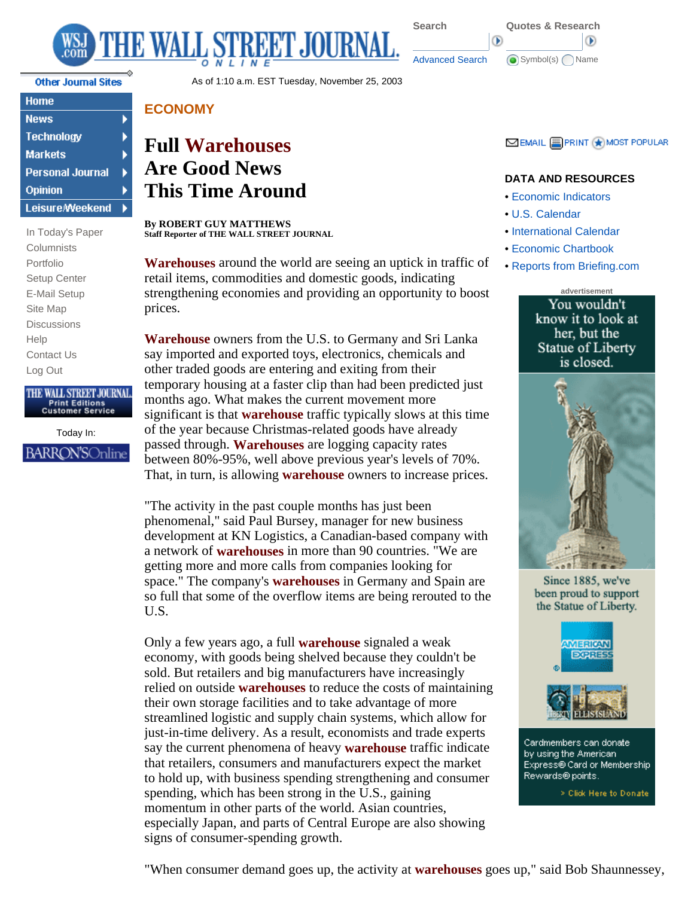

Home **News Technology Markets Personal Journal** Opinion **Leisure/Weekend** 

In Today's Paper **Columnists** Portfolio Setup Center E-Mail Setup Site Map **Discussions** Help Contact Us Log Out

THE WALL STREET JOURNAL **Print Editions<br>Customer Service** 

Today In: **BARRON'SOnline** 

Other Journal Sites **As of 1:10 a.m. EST Tuesday, November 25, 2003** 

# **ECONOMY**

# **Full Warehouses Are Good News This Time Around**

**By ROBERT GUY MATTHEWS Staff Reporter of THE WALL STREET JOURNAL**

**Warehouses** around the world are seeing an uptick in traffic of retail items, commodities and domestic goods, indicating strengthening economies and providing an opportunity to boost prices.

**Warehouse** owners from the U.S. to Germany and Sri Lanka say imported and exported toys, electronics, chemicals and other traded goods are entering and exiting from their temporary housing at a faster clip than had been predicted just months ago. What makes the current movement more significant is that **warehouse** traffic typically slows at this time of the year because Christmas-related goods have already passed through. **Warehouses** are logging capacity rates between 80%-95%, well above previous year's levels of 70%. That, in turn, is allowing **warehouse** owners to increase prices.

"The activity in the past couple months has just been phenomenal," said Paul Bursey, manager for new business development at KN Logistics, a Canadian-based company with a network of **warehouses** in more than 90 countries. "We are getting more and more calls from companies looking for space." The company's **warehouses** in Germany and Spain are so full that some of the overflow items are being rerouted to the U.S.

Only a few years ago, a full **warehouse** signaled a weak economy, with goods being shelved because they couldn't be sold. But retailers and big manufacturers have increasingly relied on outside **warehouses** to reduce the costs of maintaining their own storage facilities and to take advantage of more streamlined logistic and supply chain systems, which allow for just-in-time delivery. As a result, economists and trade experts say the current phenomena of heavy **warehouse** traffic indicate that retailers, consumers and manufacturers expect the market to hold up, with business spending strengthening and consumer spending, which has been strong in the U.S., gaining momentum in other parts of the world. Asian countries, especially Japan, and parts of Central Europe are also showing signs of consumer-spending growth.

MOST POPULAR

Œ

#### **DATA AND RESOURCES**

- Economic Indicators
- U.S. Calendar

**Search Quotes & Research** Advanced Search **G** Symbol(s) Name

- International Calendar
- Economic Chartbook
- Reports from Briefing.com

**advertisement**You wouldn't know it to look at her, but the Statue of Liberty is closed.



Since 1885, we've been proud to support the Statue of Liberty.





Cardmembers can donate. by using the American Express® Card or Membership Rewards® points.

> Click Here to Donate

"When consumer demand goes up, the activity at **warehouses** goes up," said Bob Shaunnessey,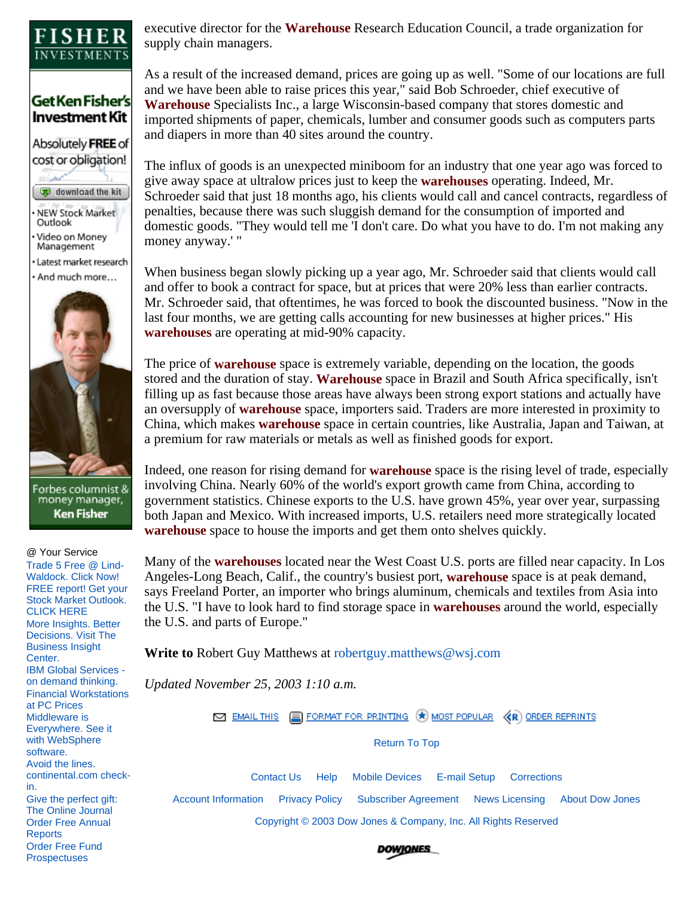# **INVESTMENT**

## Get Ken Fisher's Investment Kit

| Absolutely FREE of<br>cost or obligation! |
|-------------------------------------------|
|                                           |
| download the kit                          |
| <b>NEW Stock Market</b>                   |

Outlook Video on Money Management

· Latest market research

. And much more...



Forbes columnist & money manager, **Ken Fisher** 

### @ Your Service

Trade 5 Free @ Lind-Waldock. Click Now! FREE report! Get your Stock Market Outlook. CLICK HERE More Insights. Better Decisions. Visit The Business Insight Center. IBM Global Services on demand thinking. Financial Workstations at PC Prices Middleware is Everywhere. See it with WebSphere software. Avoid the lines. continental.com checkin. Give the perfect gift: The Online Journal Order Free Annual Reports Order Free Fund **Prospectuses** 

executive director for the **Warehouse** Research Education Council, a trade organization for supply chain managers.

As a result of the increased demand, prices are going up as well. "Some of our locations are full and we have been able to raise prices this year," said Bob Schroeder, chief executive of **Warehouse** Specialists Inc., a large Wisconsin-based company that stores domestic and imported shipments of paper, chemicals, lumber and consumer goods such as computers parts and diapers in more than 40 sites around the country.

The influx of goods is an unexpected miniboom for an industry that one year ago was forced to give away space at ultralow prices just to keep the **warehouses** operating. Indeed, Mr. Schroeder said that just 18 months ago, his clients would call and cancel contracts, regardless of penalties, because there was such sluggish demand for the consumption of imported and domestic goods. "They would tell me 'I don't care. Do what you have to do. I'm not making any money anyway.' "

When business began slowly picking up a year ago, Mr. Schroeder said that clients would call and offer to book a contract for space, but at prices that were 20% less than earlier contracts. Mr. Schroeder said, that oftentimes, he was forced to book the discounted business. "Now in the last four months, we are getting calls accounting for new businesses at higher prices." His **warehouses** are operating at mid-90% capacity.

The price of **warehouse** space is extremely variable, depending on the location, the goods stored and the duration of stay. **Warehouse** space in Brazil and South Africa specifically, isn't filling up as fast because those areas have always been strong export stations and actually have an oversupply of **warehouse** space, importers said. Traders are more interested in proximity to China, which makes **warehouse** space in certain countries, like Australia, Japan and Taiwan, at a premium for raw materials or metals as well as finished goods for export.

Indeed, one reason for rising demand for **warehouse** space is the rising level of trade, especially involving China. Nearly 60% of the world's export growth came from China, according to government statistics. Chinese exports to the U.S. have grown 45%, year over year, surpassing both Japan and Mexico. With increased imports, U.S. retailers need more strategically located **warehouse** space to house the imports and get them onto shelves quickly.

Many of the **warehouses** located near the West Coast U.S. ports are filled near capacity. In Los Angeles-Long Beach, Calif., the country's busiest port, **warehouse** space is at peak demand, says Freeland Porter, an importer who brings aluminum, chemicals and textiles from Asia into the U.S. "I have to look hard to find storage space in **warehouses** around the world, especially the U.S. and parts of Europe."

**Write to** Robert Guy Matthews at robertguy.matthews@wsj.com

*Updated November 25, 2003 1:10 a.m.*

FORMAT FOR PRINTING (\* MOST POPULAR (\* R) ORDER REPRINTS  $\boxtimes$  EMAIL THIS

Return To Top

Contact Us Help Mobile Devices E-mail Setup Corrections Account Information Privacy Policy Subscriber Agreement News Licensing About Dow Jones Copyright © 2003 Dow Jones & Company, Inc. All Rights Reserved

### **DOWIONES**